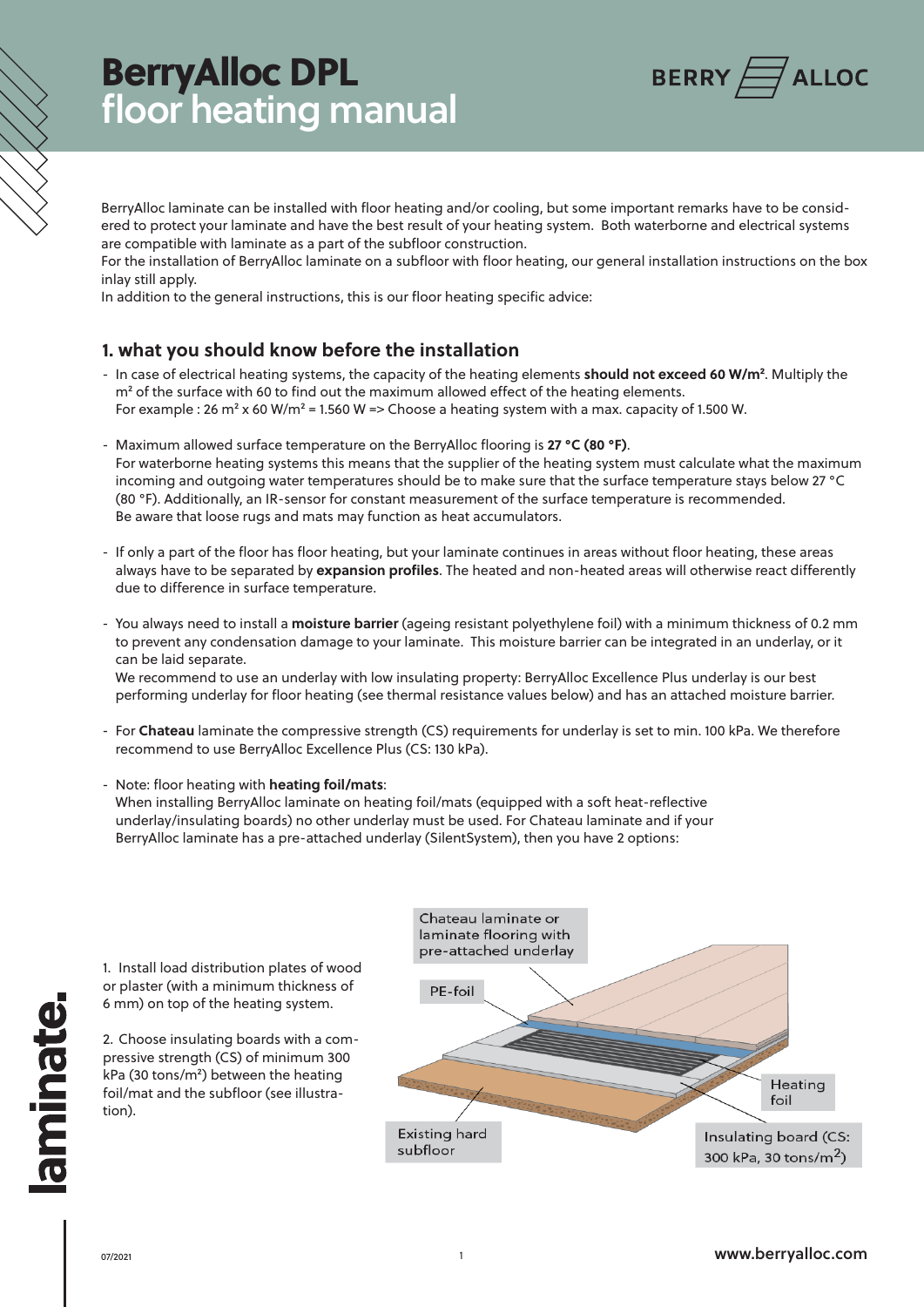# BerryAlloc DPL floor heating manual



BerryAlloc laminate can be installed with floor heating and/or cooling, but some important remarks have to be considered to protect your laminate and have the best result of your heating system. Both waterborne and electrical systems are compatible with laminate as a part of the subfloor construction.

For the installation of BerryAlloc laminate on a subfloor with floor heating, our general installation instructions on the box inlay still apply.

In addition to the general instructions, this is our floor heating specific advice:

### **1. what you should know before the installation**

- In case of electrical heating systems, the capacity of the heating elements **should not exceed 60 W/m²**. Multiply the  $m<sup>2</sup>$  of the surface with 60 to find out the maximum allowed effect of the heating elements. For example : 26 m<sup>2</sup> x 60 W/m<sup>2</sup> = 1.560 W => Choose a heating system with a max. capacity of 1.500 W.
- Maximum allowed surface temperature on the BerryAlloc flooring is **27 °C (80 °F)**. For waterborne heating systems this means that the supplier of the heating system must calculate what the maximum incoming and outgoing water temperatures should be to make sure that the surface temperature stays below 27 °C (80 °F). Additionally, an IR-sensor for constant measurement of the surface temperature is recommended. Be aware that loose rugs and mats may function as heat accumulators.
- If only a part of the floor has floor heating, but your laminate continues in areas without floor heating, these areas always have to be separated by **expansion profiles**. The heated and non-heated areas will otherwise react differently due to difference in surface temperature.
- You always need to install a **moisture barrier** (ageing resistant polyethylene foil) with a minimum thickness of 0.2 mm to prevent any condensation damage to your laminate. This moisture barrier can be integrated in an underlay, or it can be laid separate.

We recommend to use an underlay with low insulating property: BerryAlloc Excellence Plus underlay is our best performing underlay for floor heating (see thermal resistance values below) and has an attached moisture barrier.

- For **Chateau** laminate the compressive strength (CS) requirements for underlay is set to min. 100 kPa. We therefore recommend to use BerryAlloc Excellence Plus (CS: 130 kPa).
- Note: floor heating with **heating foil/mats**: When installing BerryAlloc laminate on heating foil/mats (equipped with a soft heat-reflective underlay/insulating boards) no other underlay must be used. For Chateau laminate and if your BerryAlloc laminate has a pre-attached underlay (SilentSystem), then you have 2 options: